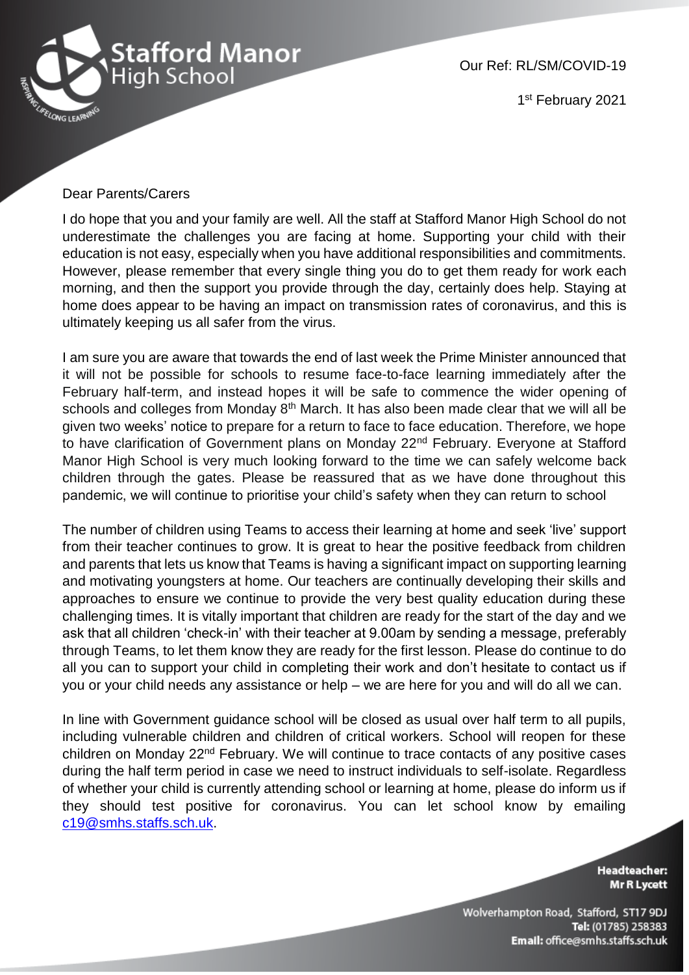

Our Ref: RL/SM/COVID-19

1st February 2021

## Dear Parents/Carers

I do hope that you and your family are well. All the staff at Stafford Manor High School do not underestimate the challenges you are facing at home. Supporting your child with their education is not easy, especially when you have additional responsibilities and commitments. However, please remember that every single thing you do to get them ready for work each morning, and then the support you provide through the day, certainly does help. Staying at home does appear to be having an impact on transmission rates of coronavirus, and this is ultimately keeping us all safer from the virus.

I am sure you are aware that towards the end of last week the Prime Minister announced that it will not be possible for schools to resume face-to-face learning immediately after the February half-term, and instead hopes it will be safe to commence the wider opening of schools and colleges from Monday 8<sup>th</sup> March. It has also been made clear that we will all be given two weeks' notice to prepare for a return to face to face education. Therefore, we hope to have clarification of Government plans on Monday 22<sup>nd</sup> February. Everyone at Stafford Manor High School is very much looking forward to the time we can safely welcome back children through the gates. Please be reassured that as we have done throughout this pandemic, we will continue to prioritise your child's safety when they can return to school

The number of children using Teams to access their learning at home and seek 'live' support from their teacher continues to grow. It is great to hear the positive feedback from children and parents that lets us know that Teams is having a significant impact on supporting learning and motivating youngsters at home. Our teachers are continually developing their skills and approaches to ensure we continue to provide the very best quality education during these challenging times. It is vitally important that children are ready for the start of the day and we ask that all children 'check-in' with their teacher at 9.00am by sending a message, preferably through Teams, to let them know they are ready for the first lesson. Please do continue to do all you can to support your child in completing their work and don't hesitate to contact us if you or your child needs any assistance or help – we are here for you and will do all we can.

In line with Government guidance school will be closed as usual over half term to all pupils, including vulnerable children and children of critical workers. School will reopen for these children on Monday 22nd February. We will continue to trace contacts of any positive cases during the half term period in case we need to instruct individuals to self-isolate. Regardless of whether your child is currently attending school or learning at home, please do inform us if they should test positive for coronavirus. You can let school know by emailing [c19@smhs.staffs.sch.uk.](mailto:c19@smhs.staffs.sch.uk)

> **Headteacher: Mr R Lycett**

Wolverhampton Road, Stafford, ST17 9DJ Tel: (01785) 258383 Email: office@smhs.staffs.sch.uk